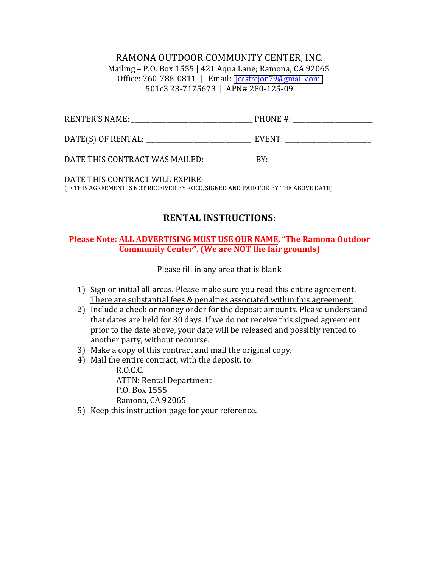RAMONA OUTDOOR COMMUNITY CENTER, INC. Mailing – P.O. Box 1555 | 421 Aqua Lane; Ramona, CA 92065 Office: 760-788-0811 | Email: jcastrejon79@gmail.com 501c3 23-7175673 | APN# 280-125-09

| (IF THIS AGREEMENT IS NOT RECEIVED BY ROCC, SIGNED AND PAID FOR BY THE ABOVE DATE) |  |
|------------------------------------------------------------------------------------|--|

# **RENTAL INSTRUCTIONS:**

### **Please Note: ALL ADVERTISING MUST USE OUR NAME, "The Ramona Outdoor Community Center". (We are NOT the fair grounds)**

Please fill in any area that is blank

- 1) Sign or initial all areas. Please make sure you read this entire agreement. There are substantial fees & penalties associated within this agreement.
- 2) Include a check or money order for the deposit amounts. Please understand that dates are held for 30 days. If we do not receive this signed agreement prior to the date above, your date will be released and possibly rented to another party, without recourse.
- 3) Make a copy of this contract and mail the original copy.
- 4) Mail the entire contract, with the deposit, to:

R.O.C.C. ATTN: Rental Department P.O. Box 1555 Ramona, CA 92065

5) Keep this instruction page for your reference.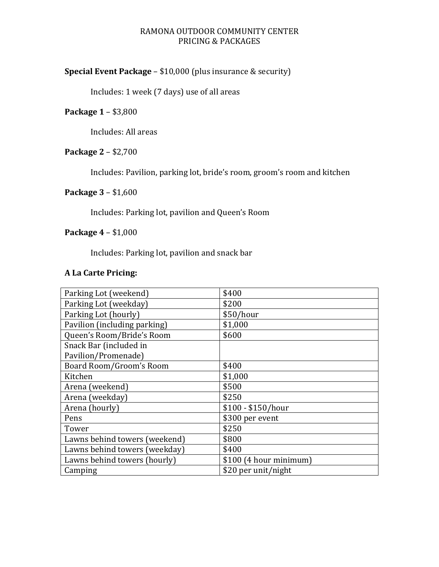# RAMONA OUTDOOR COMMUNITY CENTER PRICING & PACKAGES

# **Special Event Package** – \$10,000 (plus insurance & security)

Includes: 1 week (7 days) use of all areas

# **Package 1 – \$3,800**

Includes: All areas

# **Package 2 – \$2,700**

Includes: Pavilion, parking lot, bride's room, groom's room and kitchen

# **Package 3 - \$1,600**

Includes: Parking lot, pavilion and Queen's Room

# **Package 4 – \$1,000**

Includes: Parking lot, pavilion and snack bar

# **A La Carte Pricing:**

| Parking Lot (weekend)         | \$400                  |
|-------------------------------|------------------------|
| Parking Lot (weekday)         | \$200                  |
| Parking Lot (hourly)          | \$50/hour              |
| Pavilion (including parking)  | \$1,000                |
| Queen's Room/Bride's Room     | \$600                  |
| Snack Bar (included in        |                        |
| Pavilion/Promenade)           |                        |
| Board Room/Groom's Room       | \$400                  |
| Kitchen                       | \$1,000                |
| Arena (weekend)               | \$500                  |
| Arena (weekday)               | \$250                  |
| Arena (hourly)                | $$100 - $150/hour$     |
| Pens                          | \$300 per event        |
| Tower                         | \$250                  |
| Lawns behind towers (weekend) | \$800                  |
| Lawns behind towers (weekday) | \$400                  |
| Lawns behind towers (hourly)  | \$100 (4 hour minimum) |
| Camping                       | \$20 per unit/night    |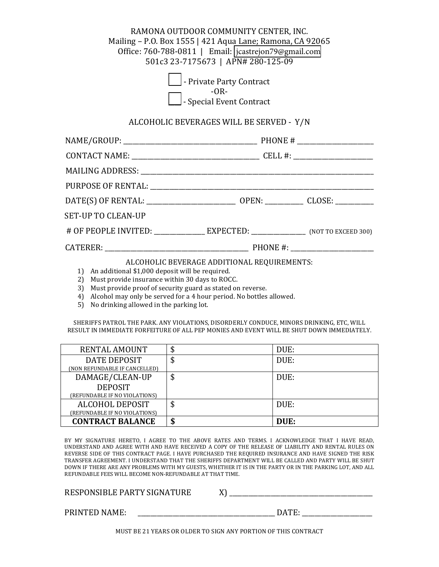### RAMONA OUTDOOR COMMUNITY CENTER, INC. Mailing – P.O. Box 1555 | 421 Aqua Lane; Ramona, CA 92065 Office: 760-788-0811 | Email: [jcastrejon79@gmail.com](mailto:jcastrejon79@gmail.com) 501c3 23-7175673 | APN# 280-125-09

| Private Party Contract          |
|---------------------------------|
| $-OR-$                          |
| $\Box$ - Special Event Contract |

#### ALCOHOLIC BEVERAGES WILL BE SERVED - Y/N

| <b>SET-UP TO CLEAN-UP</b>                                                                         |  |  |  |
|---------------------------------------------------------------------------------------------------|--|--|--|
| # OF PEOPLE INVITED: _______________ EXPECTED: ______________ (NOT TO EXCEED 300)                 |  |  |  |
|                                                                                                   |  |  |  |
| ALCOHOLIC BEVERAGE ADDITIONAL REQUIREMENTS:<br>1) An additional \$1,000 deposit will be required. |  |  |  |

- 2) Must provide insurance within 30 days to ROCC.
- 3) Must provide proof of security guard as stated on reverse.
- 4) Alcohol may only be served for a 4 hour period. No bottles allowed.
- 5) No drinking allowed in the parking lot.

SHERIFFS PATROL THE PARK. ANY VIOLATIONS, DISORDERLY CONDUCE, MINORS DRINKING, ETC, WILL RESULT IN IMMEDIATE FORFEITURE OF ALL PEP MONIES AND EVENT WILL BE SHUT DOWN IMMEDIATELY.

| RENTAL AMOUNT                 | \$<br>DUE: |
|-------------------------------|------------|
| DATE DEPOSIT                  | \$<br>DUE: |
| (NON REFUNDABLE IF CANCELLED) |            |
| DAMAGE/CLEAN-UP               | \$<br>DUE: |
| <b>DEPOSIT</b>                |            |
| (REFUNDABLE IF NO VIOLATIONS) |            |
| ALCOHOL DEPOSIT               | \$<br>DUE: |
| (REFUNDABLE IF NO VIOLATIONS) |            |
| <b>CONTRACT BALANCE</b>       | \$<br>DUE: |

BY MY SIGNATURE HERETO, I AGREE TO THE ABOVE RATES AND TERMS. I ACKNOWLEDGE THAT I HAVE READ, UNDERSTAND AND AGREE WITH AND HAVE RECEIVED A COPY OF THE RELEASE OF LIABILITY AND RENTAL RULES ON REVERSE SIDE OF THIS CONTRACT PAGE. I HAVE PURCHASED THE REQUIRED INSURANCE AND HAVE SIGNED THE RISK TRANSFER AGREEMENT. I UNDERSTAND THAT THE SHERIFFS DEPARTMENT WILL BE CALLED AND PARTY WILL BE SHUT DOWN IF THERE ARE ANY PROBLEMS WITH MY GUESTS, WHETHER IT IS IN THE PARTY OR IN THE PARKING LOT, AND ALL REFUNDABLE FEES WILL BECOME NON-REFUNDABLE AT THAT TIME.

| RESPONSIBLE PARTY SIGNATURE |  |
|-----------------------------|--|
|                             |  |

PRINTED NAME:  $\Box$  and  $\Box$  and  $\Box$  and  $\Box$  and  $\Box$  and  $\Box$  and  $\Box$  and  $\Box$  and  $\Box$  and  $\Box$  and  $\Box$  and  $\Box$  and  $\Box$  and  $\Box$  and  $\Box$  and  $\Box$  and  $\Box$  and  $\Box$  and  $\Box$  and  $\Box$  and  $\Box$  and  $\Box$  and  $\Box$  and

MUST BE 21 YEARS OR OLDER TO SIGN ANY PORTION OF THIS CONTRACT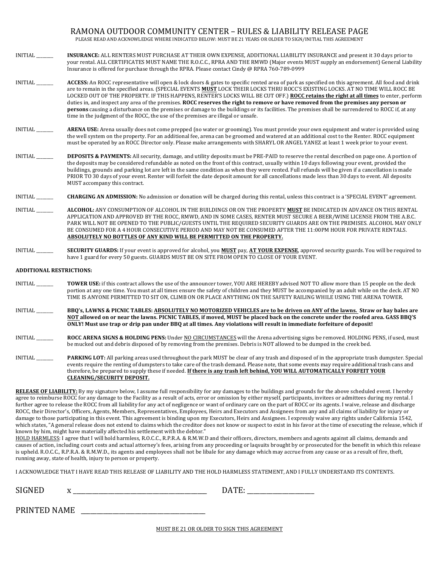#### RAMONA OUTDOOR COMMUNITY CENTER - RULES & LIABILITY RELEASE PAGE

PLEASE READ AND ACKNOWLEDGE WHERE INDICATED BELOW: MUST BE 21 YEARS OR OLDER TO SIGN/INITIAL THIS AGREEMENT

- INITIAL **\_\_\_\_\_\_\_\_\_\_ INSURANCE:** ALL RENTERS MUST PURCHASE AT THEIR OWN EXPENSE, ADDITIONAL LIABILITY INSURANCE and present it 30 days prior to your rental. ALL CERTIFICATES MUST NAME THE R.O.C.C., RPRA AND THE RMWD (Major events MUST supply an endorsement) General Liability Insurance is offered for purchase through the RPRA. Please contact Cindy @ RPRA 760-789-0999
- INITIAL \_\_\_\_\_\_\_\_\_ **ACCESS:** An ROCC representative will open & lock doors & gates to specific rented area of park as specified on this agreement. All food and drink are to remain in the specified areas. (SPECIAL EVENTS MUST LOCK THEIR LOCKS THRU ROCC'S EXISTING LOCKS. AT NO TIME WILL ROCC BE LOCKED OUT OF THE PROPERTY. IF THIS HAPPENS, RENTER'S LOCKS WILL BE CUT OFF.) **ROCC retains the right at all times** to enter, perform duties in, and inspect any area of the premises. ROCC reserves the right to remove or have removed from the premises any person or **persons** causing a disturbance on the premises or damage to the buildings or its facilities. The premises shall be surrendered to ROCC if, at any time in the judgment of the ROCC, the use of the premises are illegal or unsafe.
- INITIAL \_\_\_\_\_\_\_\_ **ARENA USE:** Arena usually does not come prepped (no water or grooming). You must provide your own equipment and water is provided using the well system on the property. For an additional fee, arena can be groomed and watered at an additional cost to the Renter. ROCC equipment must be operated by an ROCC Director only. Please make arrangements with SHARYL OR ANGEL YANEZ at least 1 week prior to your event.
- INITIAL \_\_\_\_\_\_\_\_\_\_**DEPOSITS & PAYMENTS:** All security, damage, and utility deposits must be PRE-PAID to reserve the rental described on page one. A portion of the deposits may be considered refundable as noted on the front of this contract, usually within 10 days following your event, provided the buildings, grounds and parking lot are left in the same condition as when they were rented. Full refunds will be given if a cancellation is made PRIOR TO 30 days of your event. Renter will forfeit the date deposit amount for all cancellations made less than 30 days to event. All deposits MUST accompany this contract.
- INITIAL \_\_\_\_\_\_\_\_ **CHARGING AN ADMISSION:** No admission or donation will be charged during this rental, unless this contract is a 'SPECIAL EVENT' agreement.
- INITIAL \_\_\_\_\_\_\_\_\_\_\_**ALCOHOL:** ANY CONSUMPTION OF ALCOHOL IN THE BUILDINGS OR ON THE PROPERTY MUST BE INDICATED IN ADVANCE ON THIS RENTAL APPLICATION AND APPROVED BY THE ROCC, RMWD, AND IN SOME CASES, RENTER MUST SECURE A BEER/WINE LICENSE FROM THE A.B.C. PARK WILL NOT BE OPENED TO THE PUBLIC/GUESTS UNTIL THE REQUIRED SECURITY GUARDS ARE ON THE PREMISES. ALCOHOL MAY ONLY BE CONSUMED FOR A 4 HOUR CONSECUTIVE PERIOD AND MAY NOT BE CONSUMED AFTER THE 11:00PM HOUR FOR PRIVATE RENTALS. **ABSOLUTELY NO BOTTLES OF ANY KIND WILL BE PERMITTED ON THE PROPERTY.**
- INITIAL \_\_\_\_\_\_\_\_ **SECURITY GUARDS:** If your event is approved for alcohol, you **MUST** pay, **AT YOUR EXPENSE**, approved security guards. You will be required to have 1 guard for every 50 guests. GUARDS MUST BE ON SITE FROM OPEN TO CLOSE OF YOUR EVENT.

#### **ADDITIONAL RESTRICTIONS:**

- INITIAL \_\_\_\_\_\_\_\_\_\_**TOWER USE:** if this contract allows the use of the announcer tower, YOU ARE HEREBY advised NOT TO allow more than 15 people on the deck portion at any one time. You must at all times ensure the safety of children and they MUST be accompanied by an adult while on the deck. AT NO TIME IS ANYONE PERMITTED TO SIT ON, CLIMB ON OR PLACE ANYTHING ON THE SAFETY RAILING WHILE USING THE ARENA TOWER.
- INITIAL \_\_\_\_\_\_\_\_\_ **BBQ's, LAWNS & PICNIC TABLES:** ABSOLUTELY NO MOTORIZED VEHICLES are to be driven on ANY of the lawns. Straw or hay bales are NOT allowed on or near the lawns. PICNIC TABLES, if moved, MUST be placed back on the concrete under the roofed area. GASS BBQ'S **ONLY!** Must use trap or drip pan under BBQ at all times. Any violations will result in immediate forfeiture of deposit!
- INITIAL \_\_\_\_\_\_\_\_\_**ROCC ARENA SIGNS & HOLDING PENS:** Under NO CIRCUMSTANCES will the Arena advertising signs be removed. HOLDING PENS, if used, must be mucked out and debris disposed of by removing from the premises. Debris is NOT allowed to be dumped in the creek bed.
- INITIAL \_\_\_\_\_\_\_ **PARKING LOT:** All parking areas used throughout the park MUST be clear of any trash and disposed of in the appropriate trash dumpster. Special events require the renting of dumpsters to take care of the trash demand. Please note, that some events may require additional trash cans and therefore, be prepared to supply these if needed. If there is any trash left behind, YOU WILL AUTOMATICALLY FORFEIT YOUR **CLEANING/SECURITY DEPOSIT.**

**RELEASE OF LIABILITY:** By my signature below, I assume full responsibility for any damages to the buildings and grounds for the above scheduled event. I hereby agree to reimburse ROCC for any damage to the Facility as a result of acts, error or omission by either myself, participants, invitees or admittees during my rental. I further agree to release the ROCC from all liability for any act of negligence or want of ordinary care on the part of ROCC or its agents. I waive, release and discharge ROCC, their Director's, Officers, Agents, Members, Representatives, Employees, Heirs and Executors and Assignees from any and all claims of liability for injury or damage to those participating in this event. This agreement is binding upon my Executors, Heirs and Assignees. I expressly waive any rights under California 1542, which states, "A general release does not extend to claims which the creditor does not know or suspect to exist in his favor at the time of executing the release, which if known by him, might have materially affected his settlement with the debtor."

HOLD HARMLESS: I agree that I will hold harmless, R.O.C.C., R.P.R.A. & R.M.W.D and their officers, directors, members and agents against all claims, demands and causes of action, including court costs and actual attorney's fees, arising from any proceeding or laqsuits brought by or prosecuted for the benefit in which this release is upheld. R.O.C.C., R.P.R.A. & R.M.W.D., its agents and employees shall not be libale for any damage which may accrue from any cause or as a result of fire, theft, running away, state of health, injury to person or property.

I ACKNOWLEDGE THAT I HAVE READ THIS RELEASE OF LIABILITY AND THE HOLD HARMLESS STATEMENT, AND I FULLY UNDERSTAND ITS CONTENTS.

SIGNED x \_\_\_\_\_\_\_\_\_\_\_\_\_\_\_\_\_\_\_\_\_\_\_\_\_\_\_\_\_\_\_\_\_\_\_\_\_\_\_\_\_\_ DATE: \_\_\_\_\_\_\_\_\_\_\_\_\_\_\_\_\_\_\_\_\_ 

PRINTED NAME \_\_\_\_\_\_\_\_\_\_\_\_\_\_\_\_\_\_\_\_\_\_\_\_\_\_\_\_\_\_\_\_\_\_\_\_\_\_\_ 

MUST BE 21 OR OLDER TO SIGN THIS AGREEMENT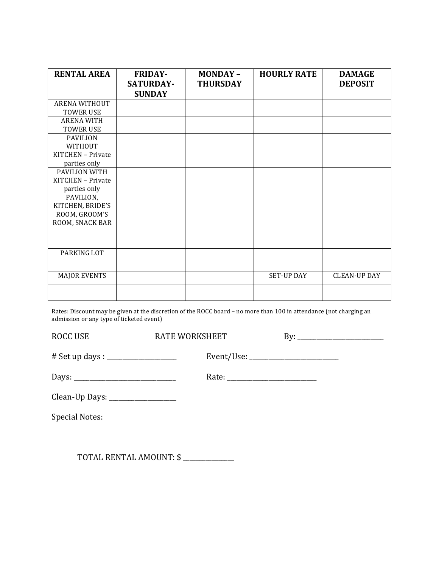| <b>RENTAL AREA</b>   | <b>FRIDAY-</b><br><b>SATURDAY-</b> | <b>MONDAY-</b><br><b>THURSDAY</b> | <b>HOURLY RATE</b> | <b>DAMAGE</b><br><b>DEPOSIT</b> |
|----------------------|------------------------------------|-----------------------------------|--------------------|---------------------------------|
|                      | <b>SUNDAY</b>                      |                                   |                    |                                 |
| ARENA WITHOUT        |                                    |                                   |                    |                                 |
| <b>TOWER USE</b>     |                                    |                                   |                    |                                 |
| <b>ARENA WITH</b>    |                                    |                                   |                    |                                 |
| <b>TOWER USE</b>     |                                    |                                   |                    |                                 |
| <b>PAVILION</b>      |                                    |                                   |                    |                                 |
| WITHOUT              |                                    |                                   |                    |                                 |
| KITCHEN - Private    |                                    |                                   |                    |                                 |
| parties only         |                                    |                                   |                    |                                 |
| <b>PAVILION WITH</b> |                                    |                                   |                    |                                 |
| KITCHEN - Private    |                                    |                                   |                    |                                 |
| parties only         |                                    |                                   |                    |                                 |
| PAVILION,            |                                    |                                   |                    |                                 |
| KITCHEN, BRIDE'S     |                                    |                                   |                    |                                 |
| ROOM, GROOM'S        |                                    |                                   |                    |                                 |
| ROOM, SNACK BAR      |                                    |                                   |                    |                                 |
|                      |                                    |                                   |                    |                                 |
|                      |                                    |                                   |                    |                                 |
| PARKING LOT          |                                    |                                   |                    |                                 |
|                      |                                    |                                   |                    |                                 |
| <b>MAJOR EVENTS</b>  |                                    |                                   | <b>SET-UP DAY</b>  | <b>CLEAN-UP DAY</b>             |
|                      |                                    |                                   |                    |                                 |

Rates: Discount may be given at the discretion of the ROCC board – no more than 100 in attendance (not charging an admission or any type of ticketed event)

| <b>ROCC USE</b>                   | <b>RATE WORKSHEET</b> |  |
|-----------------------------------|-----------------------|--|
|                                   |                       |  |
|                                   |                       |  |
| Clean-Up Days: __________________ |                       |  |
| <b>Special Notes:</b>             |                       |  |
|                                   |                       |  |

TOTAL RENTAL AMOUNT: \$